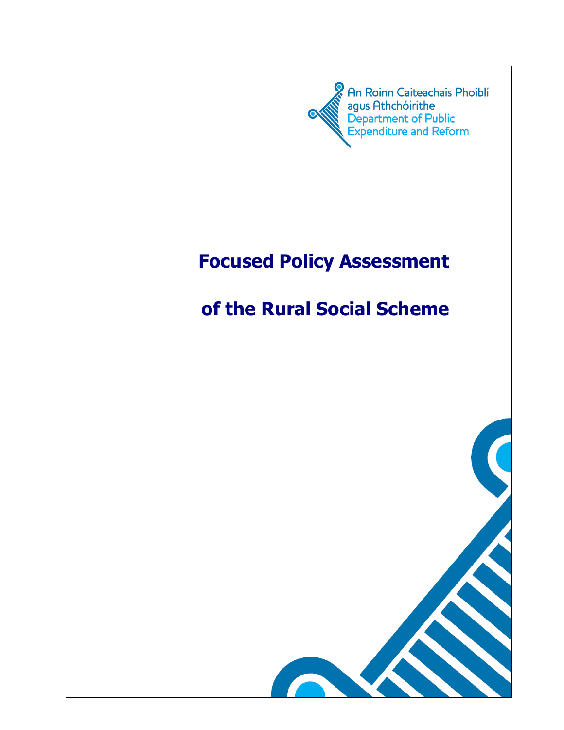

# **Focused Policy Assessment**

# **of the Rural Social Scheme**

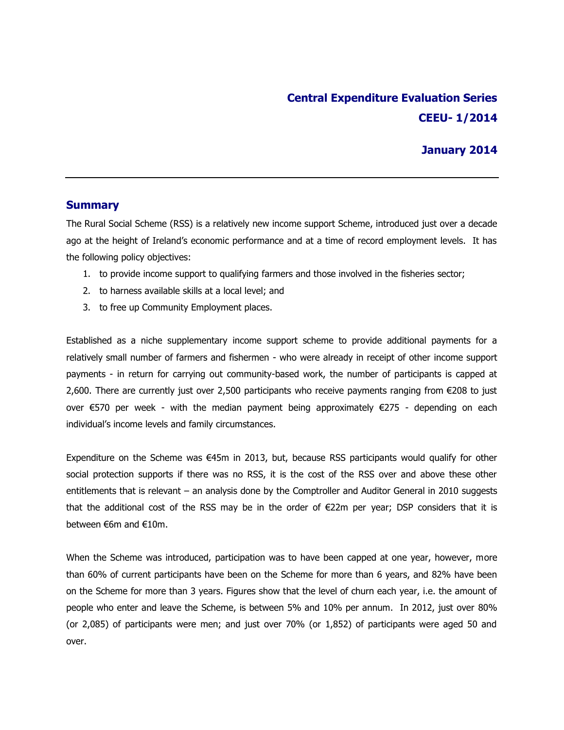## **Central Expenditure Evaluation Series CEEU- 1/2014**

### **January 2014**

#### **Summary**

The Rural Social Scheme (RSS) is a relatively new income support Scheme, introduced just over a decade ago at the height of Ireland's economic performance and at a time of record employment levels. It has the following policy objectives:

- 1. to provide income support to qualifying farmers and those involved in the fisheries sector;
- 2. to harness available skills at a local level; and
- 3. to free up Community Employment places.

Established as a niche supplementary income support scheme to provide additional payments for a relatively small number of farmers and fishermen - who were already in receipt of other income support payments - in return for carrying out community-based work, the number of participants is capped at 2,600. There are currently just over 2,500 participants who receive payments ranging from €208 to just over €570 per week - with the median payment being approximately €275 - depending on each individual's income levels and family circumstances.

Expenditure on the Scheme was €45m in 2013, but, because RSS participants would qualify for other social protection supports if there was no RSS, it is the cost of the RSS over and above these other entitlements that is relevant – an analysis done by the Comptroller and Auditor General in 2010 suggests that the additional cost of the RSS may be in the order of €22m per year; DSP considers that it is between €6m and €10m.

When the Scheme was introduced, participation was to have been capped at one year, however, more than 60% of current participants have been on the Scheme for more than 6 years, and 82% have been on the Scheme for more than 3 years. Figures show that the level of churn each year, i.e. the amount of people who enter and leave the Scheme, is between 5% and 10% per annum. In 2012, just over 80% (or 2,085) of participants were men; and just over 70% (or 1,852) of participants were aged 50 and over.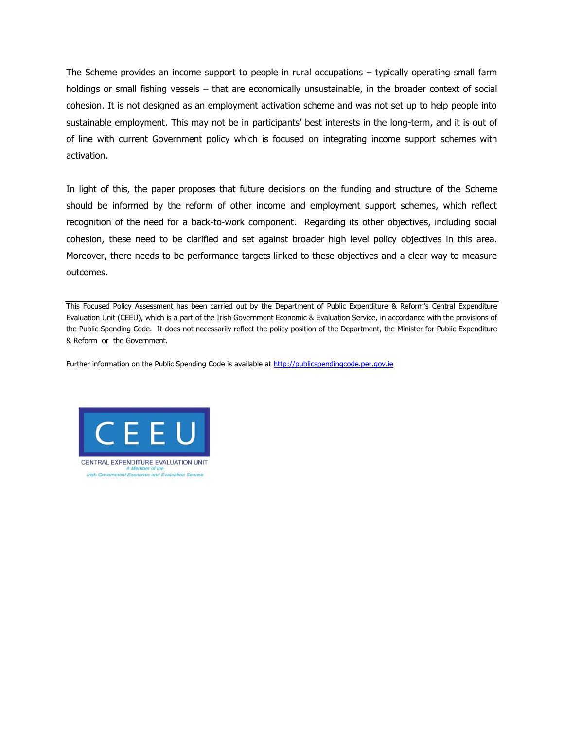The Scheme provides an income support to people in rural occupations – typically operating small farm holdings or small fishing vessels – that are economically unsustainable, in the broader context of social cohesion. It is not designed as an employment activation scheme and was not set up to help people into sustainable employment. This may not be in participants' best interests in the long-term, and it is out of of line with current Government policy which is focused on integrating income support schemes with activation.

In light of this, the paper proposes that future decisions on the funding and structure of the Scheme should be informed by the reform of other income and employment support schemes, which reflect recognition of the need for a back-to-work component. Regarding its other objectives, including social cohesion, these need to be clarified and set against broader high level policy objectives in this area. Moreover, there needs to be performance targets linked to these objectives and a clear way to measure outcomes.

This Focused Policy Assessment has been carried out by the Department of Public Expenditure & Reform's Central Expenditure Evaluation Unit (CEEU), which is a part of the Irish Government Economic & Evaluation Service, in accordance with the provisions of the Public Spending Code. It does not necessarily reflect the policy position of the Department, the Minister for Public Expenditure & Reform or the Government.

Further information on the Public Spending Code is available at [http://publicspendingcode.per.gov.ie](http://publicspendingcode.per.gov.ie/)



CENTRAL EXPENDITURE EVALUATION UNIT Irish Government Economic and Evaluation Service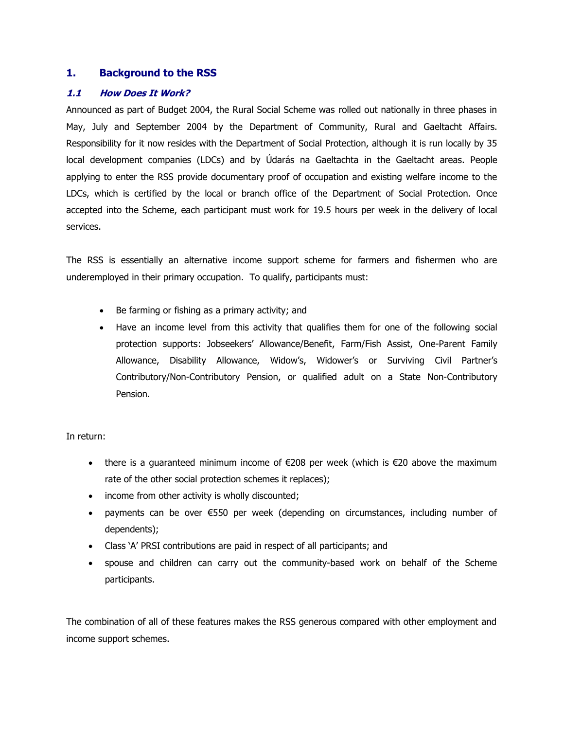#### **1. Background to the RSS**

#### **1.1 How Does It Work?**

Announced as part of Budget 2004, the Rural Social Scheme was rolled out nationally in three phases in May, July and September 2004 by the Department of Community, Rural and Gaeltacht Affairs. Responsibility for it now resides with the Department of Social Protection, although it is run locally by 35 local development companies (LDCs) and by Údarás na Gaeltachta in the Gaeltacht areas. People applying to enter the RSS provide documentary proof of occupation and existing welfare income to the LDCs, which is certified by the local or branch office of the Department of Social Protection. Once accepted into the Scheme, each participant must work for 19.5 hours per week in the delivery of local services.

The RSS is essentially an alternative income support scheme for farmers and fishermen who are underemployed in their primary occupation. To qualify, participants must:

- Be farming or fishing as a primary activity; and
- Have an income level from this activity that qualifies them for one of the following social protection supports: Jobseekers' Allowance/Benefit, Farm/Fish Assist, One-Parent Family Allowance, Disability Allowance, Widow's, Widower's or Surviving Civil Partner's Contributory/Non-Contributory Pension, or qualified adult on a State Non-Contributory Pension.

In return:

- there is a guaranteed minimum income of  $\epsilon$ 208 per week (which is  $\epsilon$ 20 above the maximum rate of the other social protection schemes it replaces);
- income from other activity is wholly discounted;
- payments can be over €550 per week (depending on circumstances, including number of dependents);
- Class 'A' PRSI contributions are paid in respect of all participants; and
- spouse and children can carry out the community-based work on behalf of the Scheme participants.

The combination of all of these features makes the RSS generous compared with other employment and income support schemes.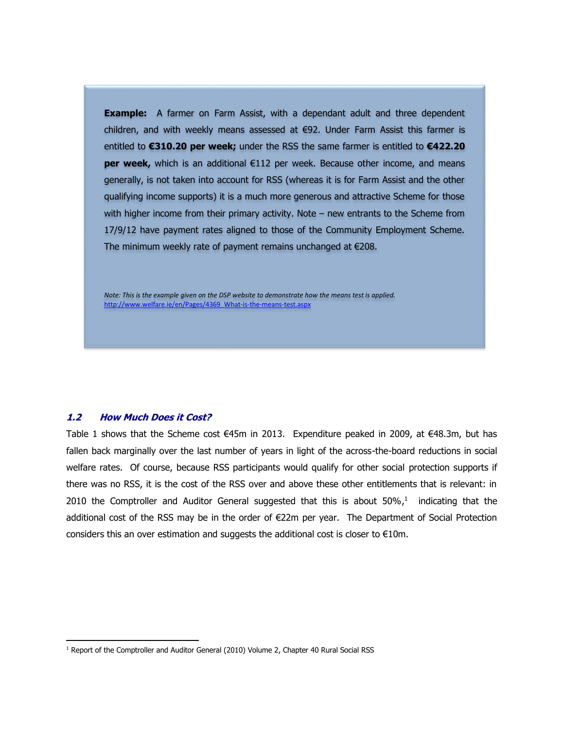**Example:** A farmer on Farm Assist, with a dependant adult and three dependent children, and with weekly means assessed at €92. Under Farm Assist this farmer is entitled to **€310.20 per week;** under the RSS the same farmer is entitled to **€422.20 per week,** which is an additional €112 per week. Because other income, and means generally, is not taken into account for RSS (whereas it is for Farm Assist and the other qualifying income supports) it is a much more generous and attractive Scheme for those with higher income from their primary activity. Note – new entrants to the Scheme from 17/9/12 have payment rates aligned to those of the Community Employment Scheme. The minimum weekly rate of payment remains unchanged at €208.

*Note: This is the example given on the DSP website to demonstrate how the means test is applied.* [http://www.welfare.ie/en/Pages/4369\\_What-is-the-means-test.aspx](http://www.welfare.ie/en/Pages/4369_What-is-the-means-test.aspx)

#### **1.2 How Much Does it Cost?**

 $\overline{\phantom{a}}$ 

Table 1 shows that the Scheme cost €45m in 2013. Expenditure peaked in 2009, at €48.3m, but has fallen back marginally over the last number of years in light of the across-the-board reductions in social welfare rates. Of course, because RSS participants would qualify for other social protection supports if there was no RSS, it is the cost of the RSS over and above these other entitlements that is relevant: in 2010 the Comptroller and Auditor General suggested that this is about  $50\%$ ,<sup>1</sup> indicating that the additional cost of the RSS may be in the order of €22m per year. The Department of Social Protection considers this an over estimation and suggests the additional cost is closer to  $E10m$ .

<sup>&</sup>lt;sup>1</sup> Report of the Comptroller and Auditor General (2010) Volume 2, Chapter 40 Rural Social RSS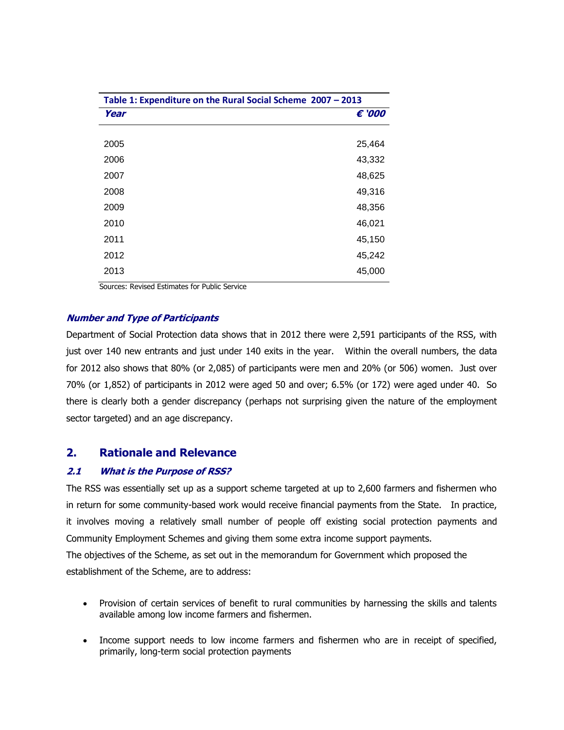| Table 1: Expenditure on the Rural Social Scheme 2007 - 2013 |        |
|-------------------------------------------------------------|--------|
| Year                                                        | € '000 |
|                                                             |        |
| 2005                                                        | 25,464 |
| 2006                                                        | 43,332 |
| 2007                                                        | 48,625 |
| 2008                                                        | 49,316 |
| 2009                                                        | 48,356 |
| 2010                                                        | 46,021 |
| 2011                                                        | 45,150 |
| 2012                                                        | 45,242 |
| 2013                                                        | 45,000 |

Sources: Revised Estimates for Public Service

#### **Number and Type of Participants**

Department of Social Protection data shows that in 2012 there were 2,591 participants of the RSS, with just over 140 new entrants and just under 140 exits in the year. Within the overall numbers, the data for 2012 also shows that 80% (or 2,085) of participants were men and 20% (or 506) women. Just over 70% (or 1,852) of participants in 2012 were aged 50 and over; 6.5% (or 172) were aged under 40. So there is clearly both a gender discrepancy (perhaps not surprising given the nature of the employment sector targeted) and an age discrepancy.

### **2. Rationale and Relevance**

#### **2.1 What is the Purpose of RSS?**

The RSS was essentially set up as a support scheme targeted at up to 2,600 farmers and fishermen who in return for some community-based work would receive financial payments from the State. In practice, it involves moving a relatively small number of people off existing social protection payments and Community Employment Schemes and giving them some extra income support payments.

The objectives of the Scheme, as set out in the memorandum for Government which proposed the establishment of the Scheme, are to address:

- Provision of certain services of benefit to rural communities by harnessing the skills and talents available among low income farmers and fishermen.
- Income support needs to low income farmers and fishermen who are in receipt of specified, primarily, long-term social protection payments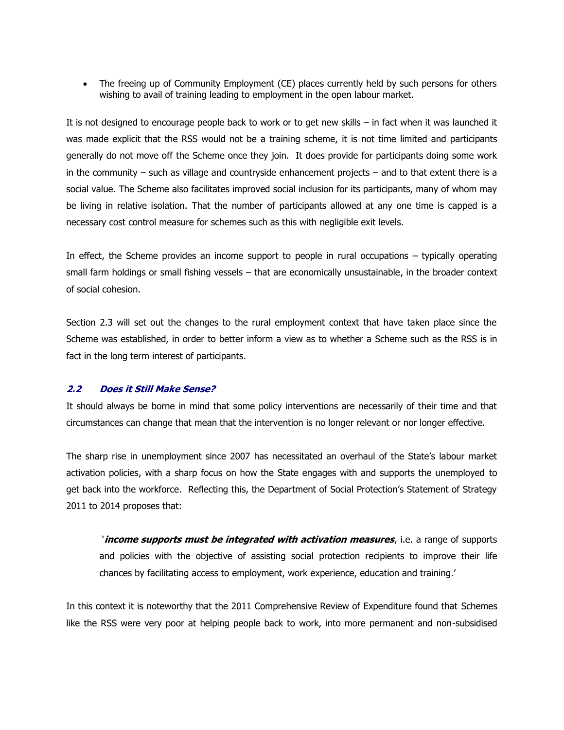• The freeing up of Community Employment (CE) places currently held by such persons for others wishing to avail of training leading to employment in the open labour market.

It is not designed to encourage people back to work or to get new skills – in fact when it was launched it was made explicit that the RSS would not be a training scheme, it is not time limited and participants generally do not move off the Scheme once they join. It does provide for participants doing some work in the community – such as village and countryside enhancement projects – and to that extent there is a social value. The Scheme also facilitates improved social inclusion for its participants, many of whom may be living in relative isolation. That the number of participants allowed at any one time is capped is a necessary cost control measure for schemes such as this with negligible exit levels.

In effect, the Scheme provides an income support to people in rural occupations – typically operating small farm holdings or small fishing vessels – that are economically unsustainable, in the broader context of social cohesion.

Section 2.3 will set out the changes to the rural employment context that have taken place since the Scheme was established, in order to better inform a view as to whether a Scheme such as the RSS is in fact in the long term interest of participants.

#### **2.2 Does it Still Make Sense?**

It should always be borne in mind that some policy interventions are necessarily of their time and that circumstances can change that mean that the intervention is no longer relevant or nor longer effective.

The sharp rise in unemployment since 2007 has necessitated an overhaul of the State's labour market activation policies, with a sharp focus on how the State engages with and supports the unemployed to get back into the workforce. Reflecting this, the Department of Social Protection's Statement of Strategy 2011 to 2014 proposes that:

'**income supports must be integrated with activation measures**, i.e. a range of supports and policies with the objective of assisting social protection recipients to improve their life chances by facilitating access to employment, work experience, education and training.'

In this context it is noteworthy that the 2011 Comprehensive Review of Expenditure found that Schemes like the RSS were very poor at helping people back to work, into more permanent and non-subsidised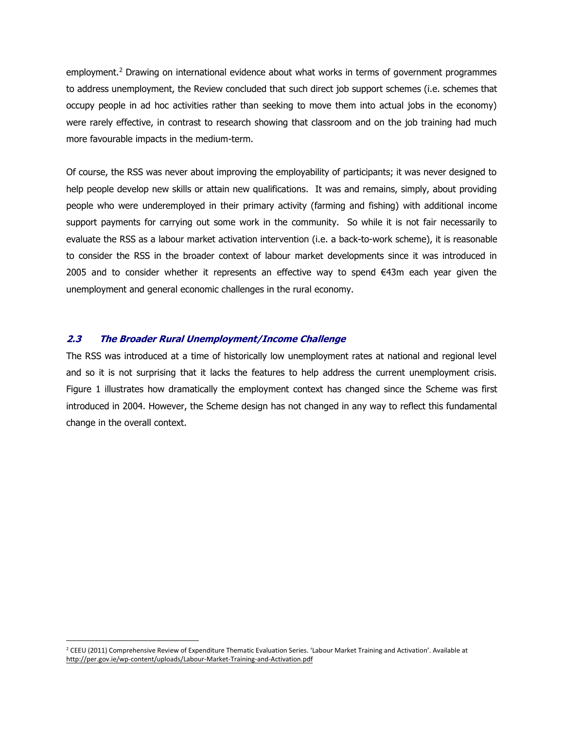employment.<sup>2</sup> Drawing on international evidence about what works in terms of government programmes to address unemployment, the Review concluded that such direct job support schemes (i.e. schemes that occupy people in ad hoc activities rather than seeking to move them into actual jobs in the economy) were rarely effective, in contrast to research showing that classroom and on the job training had much more favourable impacts in the medium-term.

Of course, the RSS was never about improving the employability of participants; it was never designed to help people develop new skills or attain new qualifications. It was and remains, simply, about providing people who were underemployed in their primary activity (farming and fishing) with additional income support payments for carrying out some work in the community. So while it is not fair necessarily to evaluate the RSS as a labour market activation intervention (i.e. a back-to-work scheme), it is reasonable to consider the RSS in the broader context of labour market developments since it was introduced in 2005 and to consider whether it represents an effective way to spend  $\epsilon$ 43m each year given the unemployment and general economic challenges in the rural economy.

#### **2.3 The Broader Rural Unemployment/Income Challenge**

 $\overline{a}$ 

The RSS was introduced at a time of historically low unemployment rates at national and regional level and so it is not surprising that it lacks the features to help address the current unemployment crisis. Figure 1 illustrates how dramatically the employment context has changed since the Scheme was first introduced in 2004. However, the Scheme design has not changed in any way to reflect this fundamental change in the overall context.

<sup>&</sup>lt;sup>2</sup> CEEU (2011) Comprehensive Review of Expenditure Thematic Evaluation Series. 'Labour Market Training and Activation'. Available at <http://per.gov.ie/wp-content/uploads/Labour-Market-Training-and-Activation.pdf>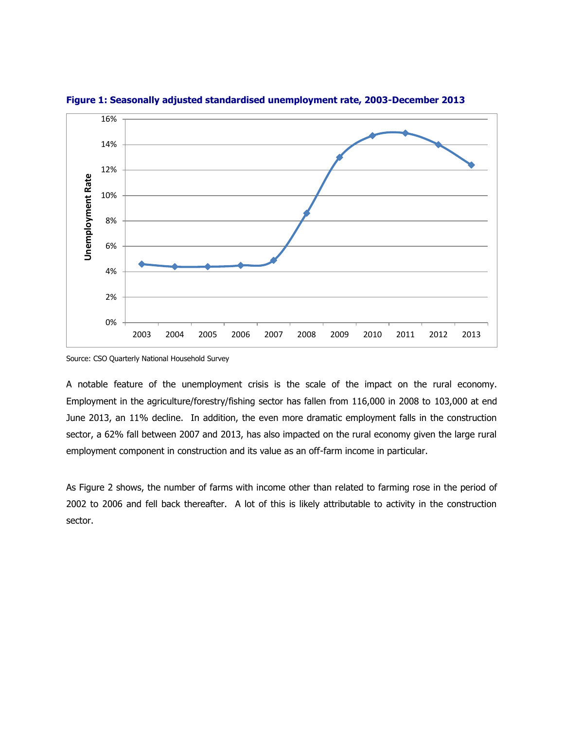

**Figure 1: Seasonally adjusted standardised unemployment rate, 2003-December 2013**

Source: CSO Quarterly National Household Survey

A notable feature of the unemployment crisis is the scale of the impact on the rural economy. Employment in the agriculture/forestry/fishing sector has fallen from 116,000 in 2008 to 103,000 at end June 2013, an 11% decline. In addition, the even more dramatic employment falls in the construction sector, a 62% fall between 2007 and 2013, has also impacted on the rural economy given the large rural employment component in construction and its value as an off-farm income in particular.

As Figure 2 shows, the number of farms with income other than related to farming rose in the period of 2002 to 2006 and fell back thereafter. A lot of this is likely attributable to activity in the construction sector.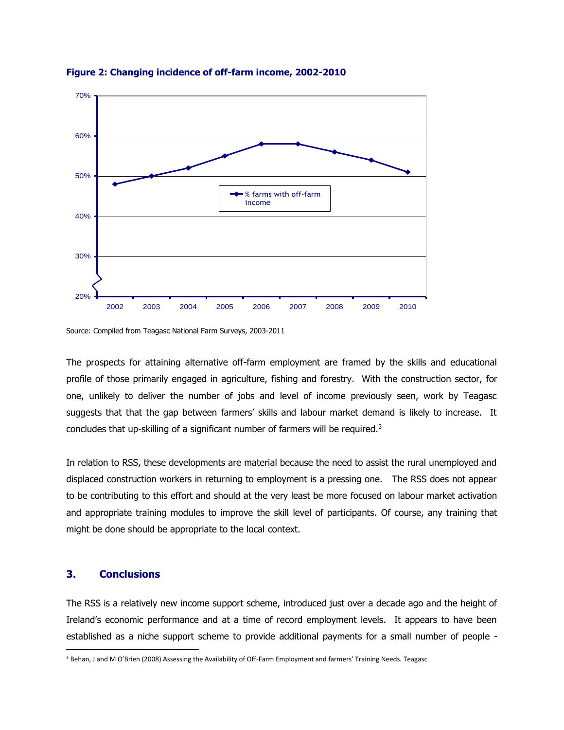

**Figure 2: Changing incidence of off-farm income, 2002-2010**

Source: Compiled from Teagasc National Farm Surveys, 2003-2011

The prospects for attaining alternative off-farm employment are framed by the skills and educational profile of those primarily engaged in agriculture, fishing and forestry. With the construction sector, for one, unlikely to deliver the number of jobs and level of income previously seen, work by Teagasc suggests that that the gap between farmers' skills and labour market demand is likely to increase. It concludes that up-skilling of a significant number of farmers will be required.<sup>3</sup>

In relation to RSS, these developments are material because the need to assist the rural unemployed and displaced construction workers in returning to employment is a pressing one. The RSS does not appear to be contributing to this effort and should at the very least be more focused on labour market activation and appropriate training modules to improve the skill level of participants. Of course, any training that might be done should be appropriate to the local context.

#### **3. Conclusions**

l

The RSS is a relatively new income support scheme, introduced just over a decade ago and the height of Ireland's economic performance and at a time of record employment levels. It appears to have been established as a niche support scheme to provide additional payments for a small number of people -

<sup>3</sup> Behan, J and M O'Brien (2008) Assessing the Availability of Off-Farm Employment and farmers' Training Needs. Teagasc